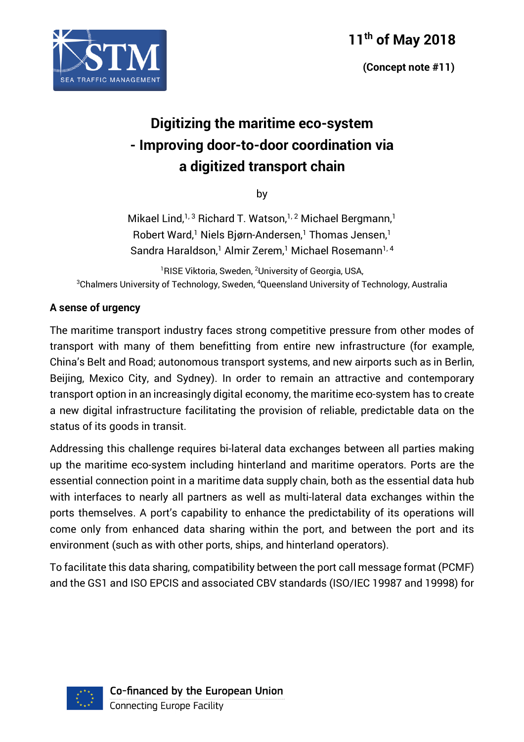

 **(Concept note #11)**



# **Digitizing the maritime eco-system - Improving door-to-door coordination via a digitized transport chain**

by

Mikael Lind,<sup>1,3</sup> Richard T. Watson,<sup>1,2</sup> Michael Bergmann,<sup>1</sup> Robert Ward, <sup>1</sup> Niels Bjørn-Andersen, <sup>1</sup> Thomas Jensen, 1 Sandra Haraldson,<sup>1</sup> Almir Zerem,<sup>1</sup> Michael Rosemann<sup>1, 4</sup>

<sup>1</sup>RISE Viktoria, Sweden, <sup>2</sup>University of Georgia, USA,  $^3$ Chalmers University of Technology, Sweden,  $^4$ Queensland University of Technology, Australia

#### **A sense of urgency**

The maritime transport industry faces strong competitive pressure from other modes of transport with many of them benefitting from entire new infrastructure (for example, China's Belt and Road; autonomous transport systems, and new airports such as in Berlin, Beijing, Mexico City, and Sydney). In order to remain an attractive and contemporary transport option in an increasingly digital economy, the maritime eco-system has to create a new digital infrastructure facilitating the provision of reliable, predictable data on the status of its goods in transit.

Addressing this challenge requires bi-lateral data exchanges between all parties making up the maritime eco-system including hinterland and maritime operators. Ports are the essential connection point in a maritime data supply chain, both as the essential data hub with interfaces to nearly all partners as well as multi-lateral data exchanges within the ports themselves. A port's capability to enhance the predictability of its operations will come only from enhanced data sharing within the port, and between the port and its environment (such as with other ports, ships, and hinterland operators).

To facilitate this data sharing, compatibility between the port call message format (PCMF) and the GS1 and ISO EPCIS and associated CBV standards (ISO/IEC 19987 and 19998) for

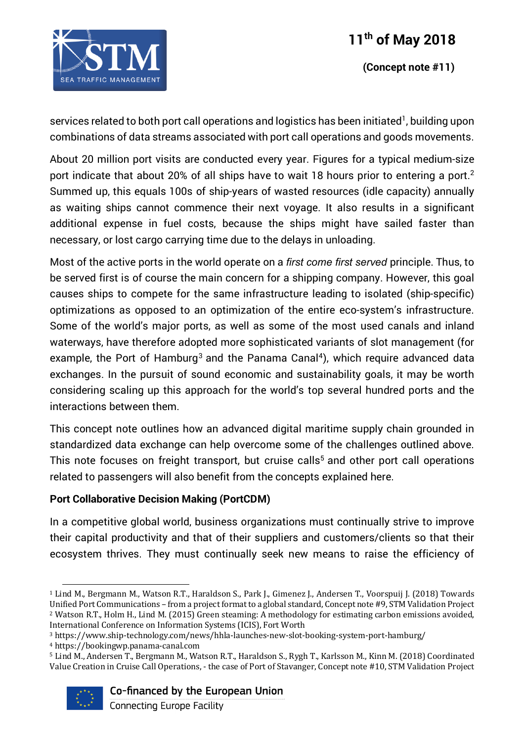

 **(Concept note #11)**

services related to both port call operations and logistics has been initiated<sup>1</sup>, building upon combinations of data streams associated with port call operations and goods movements.

About 20 million port visits are conducted every year. Figures for a typical medium-size port indicate that about 20% of all ships have to wait 18 hours prior to entering a port.<sup>2</sup> Summed up, this equals 100s of ship-years of wasted resources (idle capacity) annually as waiting ships cannot commence their next voyage. It also results in a significant additional expense in fuel costs, because the ships might have sailed faster than necessary, or lost cargo carrying time due to the delays in unloading.

Most of the active ports in the world operate on a *first come first served* principle. Thus, to be served first is of course the main concern for a shipping company. However, this goal causes ships to compete for the same infrastructure leading to isolated (ship-specific) optimizations as opposed to an optimization of the entire eco-system's infrastructure. Some of the world's major ports, as well as some of the most used canals and inland waterways, have therefore adopted more sophisticated variants of slot management (for example, the Port of Hamburg<sup>3</sup> and the Panama Canal<sup>4</sup>), which require advanced data exchanges. In the pursuit of sound economic and sustainability goals, it may be worth considering scaling up this approach for the world's top several hundred ports and the interactions between them.

This concept note outlines how an advanced digital maritime supply chain grounded in standardized data exchange can help overcome some of the challenges outlined above. This note focuses on freight transport, but cruise calls<sup>5</sup> and other port call operations related to passengers will also benefit from the concepts explained here.

#### **Port Collaborative Decision Making (PortCDM)**

In a competitive global world, business organizations must continually strive to improve their capital productivity and that of their suppliers and customers/clients so that their ecosystem thrives. They must continually seek new means to raise the efficiency of

 

<sup>&</sup>lt;sup>5</sup> Lind M., Andersen T., Bergmann M., Watson R.T., Haraldson S., Rygh T., Karlsson M., Kinn M. (2018) Coordinated Value Creation in Cruise Call Operations, - the case of Port of Stavanger, Concept note #10, STM Validation Project



Co-financed by the European Union

<sup>&</sup>lt;sup>1</sup> Lind M., Bergmann M., Watson R.T., Haraldson S., Park J., Gimenez J., Andersen T., Voorspuij J. (2018) Towards Unified Port Communications – from a project format to a global standard, Concept note #9, STM Validation Project <sup>2</sup> Watson R.T., Holm H., Lind M. (2015) Green steaming: A methodology for estimating carbon emissions avoided, International Conference on Information Systems (ICIS), Fort Worth

<sup>3</sup> https://www.ship-technology.com/news/hhla-launches-new-slot-booking-system-port-hamburg/

<sup>4</sup> https://bookingwp.panama-canal.com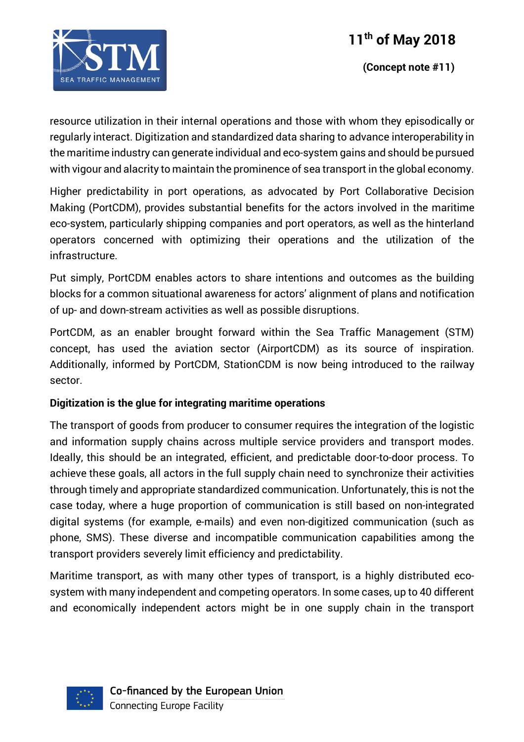

 **(Concept note #11)**

resource utilization in their internal operations and those with whom they episodically or regularly interact. Digitization and standardized data sharing to advance interoperability in the maritime industry can generate individual and eco-system gains and should be pursued with vigour and alacrity to maintain the prominence of sea transport in the global economy.

Higher predictability in port operations, as advocated by Port Collaborative Decision Making (PortCDM), provides substantial benefits for the actors involved in the maritime eco-system, particularly shipping companies and port operators, as well as the hinterland operators concerned with optimizing their operations and the utilization of the infrastructure.

Put simply, PortCDM enables actors to share intentions and outcomes as the building blocks for a common situational awareness for actors' alignment of plans and notification of up- and down-stream activities as well as possible disruptions.

PortCDM, as an enabler brought forward within the Sea Traffic Management (STM) concept, has used the aviation sector (AirportCDM) as its source of inspiration. Additionally, informed by PortCDM, StationCDM is now being introduced to the railway sector.

#### **Digitization is the glue for integrating maritime operations**

The transport of goods from producer to consumer requires the integration of the logistic and information supply chains across multiple service providers and transport modes. Ideally, this should be an integrated, efficient, and predictable door-to-door process. To achieve these goals, all actors in the full supply chain need to synchronize their activities through timely and appropriate standardized communication. Unfortunately, this is not the case today, where a huge proportion of communication is still based on non-integrated digital systems (for example, e-mails) and even non-digitized communication (such as phone, SMS). These diverse and incompatible communication capabilities among the transport providers severely limit efficiency and predictability.

Maritime transport, as with many other types of transport, is a highly distributed ecosystem with many independent and competing operators. In some cases, up to 40 different and economically independent actors might be in one supply chain in the transport

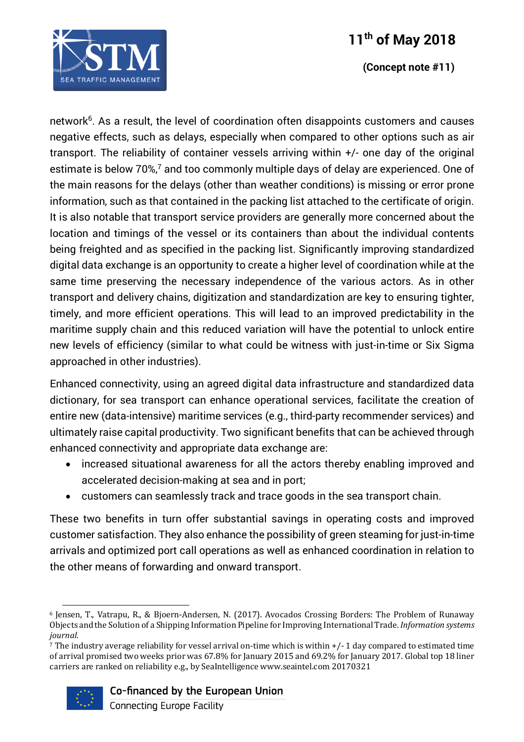

#### **(Concept note #11)**

network<sup>6</sup>. As a result, the level of coordination often disappoints customers and causes negative effects, such as delays, especially when compared to other options such as air transport. The reliability of container vessels arriving within +/- one day of the original estimate is below 70%, <sup>7</sup> and too commonly multiple days of delay are experienced. One of the main reasons for the delays (other than weather conditions) is missing or error prone information, such as that contained in the packing list attached to the certificate of origin. It is also notable that transport service providers are generally more concerned about the location and timings of the vessel or its containers than about the individual contents being freighted and as specified in the packing list. Significantly improving standardized digital data exchange is an opportunity to create a higher level of coordination while at the same time preserving the necessary independence of the various actors. As in other transport and delivery chains, digitization and standardization are key to ensuring tighter, timely, and more efficient operations. This will lead to an improved predictability in the maritime supply chain and this reduced variation will have the potential to unlock entire new levels of efficiency (similar to what could be witness with just-in-time or Six Sigma approached in other industries).

Enhanced connectivity, using an agreed digital data infrastructure and standardized data dictionary, for sea transport can enhance operational services, facilitate the creation of entire new (data-intensive) maritime services (e.g., third-party recommender services) and ultimately raise capital productivity. Two significant benefits that can be achieved through enhanced connectivity and appropriate data exchange are:

- increased situational awareness for all the actors thereby enabling improved and accelerated decision-making at sea and in port;
- customers can seamlessly track and trace goods in the sea transport chain.

These two benefits in turn offer substantial savings in operating costs and improved customer satisfaction. They also enhance the possibility of green steaming for just-in-time arrivals and optimized port call operations as well as enhanced coordination in relation to the other means of forwarding and onward transport.

The industry average reliability for vessel arrival on-time which is within  $+/$ -1 day compared to estimated time of arrival promised two weeks prior was 67.8% for January 2015 and 69.2% for January 2017. Global top 18 liner carriers are ranked on reliability e.g., by SeaIntelligence www.seaintel.com 20170321



 

#### Co-financed by the European Union

Connecting Europe Facility

<sup>&</sup>lt;sup>6</sup> Jensen, T., Vatrapu, R., & Bjoern-Andersen, N. (2017). Avocados Crossing Borders: The Problem of Runaway Objects and the Solution of a Shipping Information Pipeline for Improving International Trade. *Information systems journal*.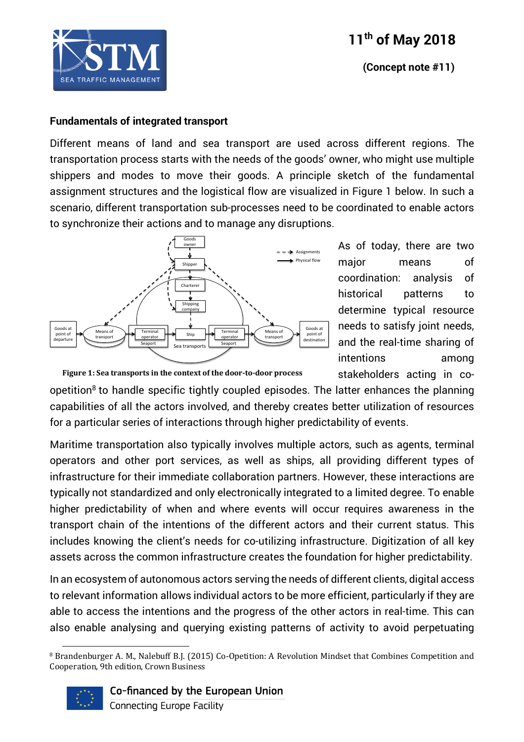





#### **Fundamentals of integrated transport**

Different means of land and sea transport are used across different regions. The transportation process starts with the needs of the goods' owner, who might use multiple shippers and modes to move their goods. A principle sketch of the fundamental assignment structures and the logistical flow are visualized in Figure 1 below. In such a scenario, different transportation sub-processes need to be coordinated to enable actors to synchronize their actions and to manage any disruptions.



As of today, there are two major means of coordination: analysis of historical patterns to determine typical resource needs to satisfy joint needs, and the real-time sharing of intentions among stakeholders acting in co-

Figure 1: Sea transports in the context of the door-to-door process

opetition<sup>8</sup> to handle specific tightly coupled episodes. The latter enhances the planning capabilities of all the actors involved, and thereby creates better utilization of resources for a particular series of interactions through higher predictability of events.

Maritime transportation also typically involves multiple actors, such as agents, terminal operators and other port services, as well as ships, all providing different types of infrastructure for their immediate collaboration partners. However, these interactions are typically not standardized and only electronically integrated to a limited degree. To enable higher predictability of when and where events will occur requires awareness in the transport chain of the intentions of the different actors and their current status. This includes knowing the client's needs for co-utilizing infrastructure. Digitization of all key assets across the common infrastructure creates the foundation for higher predictability.

In an ecosystem of autonomous actors serving the needs of different clients, digital access to relevant information allows individual actors to be more efficient, particularly if they are able to access the intentions and the progress of the other actors in real-time. This can also enable analysing and querying existing patterns of activity to avoid perpetuating

 <sup>8</sup> Brandenburger A. M., Nalebuff B.J. (2015) Co-Opetition: A Revolution Mindset that Combines Competition and Cooperation, 9th edition, Crown Business



Co-financed by the European Union

**Connecting Europe Facility**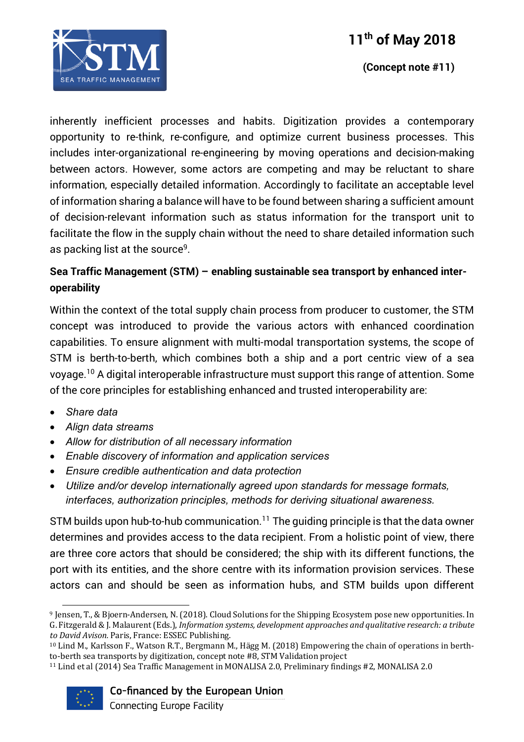

 **(Concept note #11)**

inherently inefficient processes and habits. Digitization provides a contemporary opportunity to re-think, re-configure, and optimize current business processes. This includes inter-organizational re-engineering by moving operations and decision-making between actors. However, some actors are competing and may be reluctant to share information, especially detailed information. Accordingly to facilitate an acceptable level of information sharing a balance will have to be found between sharing a sufficient amount of decision-relevant information such as status information for the transport unit to facilitate the flow in the supply chain without the need to share detailed information such as packing list at the source<sup>9</sup>.

### **Sea Traffic Management (STM) – enabling sustainable sea transport by enhanced interoperability**

Within the context of the total supply chain process from producer to customer, the STM concept was introduced to provide the various actors with enhanced coordination capabilities. To ensure alignment with multi-modal transportation systems, the scope of STM is berth-to-berth, which combines both a ship and a port centric view of a sea voyage. <sup>10</sup> A digital interoperable infrastructure must support this range of attention. Some of the core principles for establishing enhanced and trusted interoperability are:

- *Share data*
- *Align data streams*
- *Allow for distribution of all necessary information*
- *Enable discovery of information and application services*
- *Ensure credible authentication and data protection*
- *Utilize and/or develop internationally agreed upon standards for message formats, interfaces, authorization principles, methods for deriving situational awareness.*

STM builds upon hub-to-hub communication. <sup>11</sup> The guiding principle is that the data owner determines and provides access to the data recipient. From a holistic point of view, there are three core actors that should be considered; the ship with its different functions, the port with its entities, and the shore centre with its information provision services. These actors can and should be seen as information hubs, and STM builds upon different

<sup>&</sup>lt;sup>11</sup> Lind et al (2014) Sea Traffic Management in MONALISA 2.0, Preliminary findings #2, MONALISA 2.0



#### Co-financed by the European Union

Connecting Europe Facility

 

<sup>&</sup>lt;sup>9</sup> Jensen, T., & Bjoern-Andersen, N. (2018). Cloud Solutions for the Shipping Ecosystem pose new opportunities. In G. Fitzgerald & J. Malaurent (Eds.), *Information systems, development approaches and qualitative research: a tribute* to David Avison. Paris, France: ESSEC Publishing.

 $10$  Lind M., Karlsson F., Watson R.T., Bergmann M., Hägg M. (2018) Empowering the chain of operations in berthto-berth sea transports by digitization, concept note #8, STM Validation project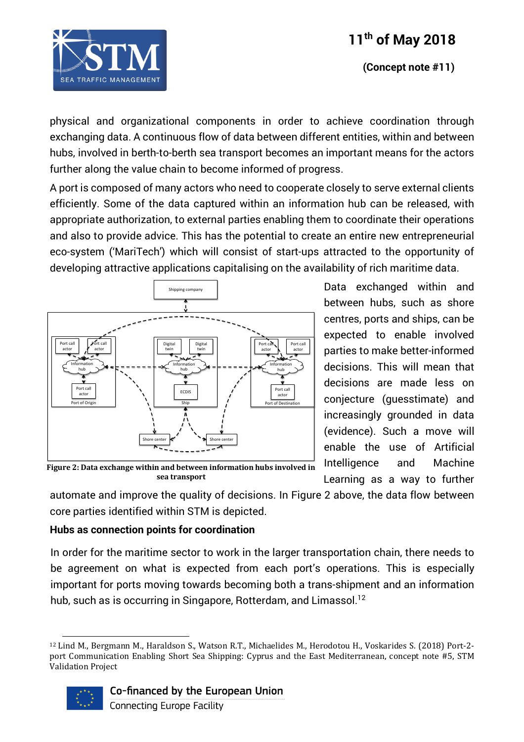

 **(Concept note #11)**

physical and organizational components in order to achieve coordination through exchanging data. A continuous flow of data between different entities, within and between hubs, involved in berth-to-berth sea transport becomes an important means for the actors further along the value chain to become informed of progress.

A port is composed of many actors who need to cooperate closely to serve external clients efficiently. Some of the data captured within an information hub can be released, with appropriate authorization, to external parties enabling them to coordinate their operations and also to provide advice. This has the potential to create an entire new entrepreneurial eco-system ('MariTech') which will consist of start-ups attracted to the opportunity of developing attractive applications capitalising on the availability of rich maritime data.



Data exchanged within and between hubs, such as shore centres, ports and ships, can be expected to enable involved parties to make better-informed decisions. This will mean that decisions are made less on conjecture (guesstimate) and increasingly grounded in data (evidence). Such a move will enable the use of Artificial Intelligence and Machine Learning as a way to further

Figure 2: Data exchange within and between information hubs involved in **sea transport**

automate and improve the quality of decisions. In Figure 2 above, the data flow between core parties identified within STM is depicted.

#### **Hubs as connection points for coordination**

 

In order for the maritime sector to work in the larger transportation chain, there needs to be agreement on what is expected from each port's operations. This is especially important for ports moving towards becoming both a trans-shipment and an information hub, such as is occurring in Singapore, Rotterdam, and Limassol.<sup>12</sup>

<sup>&</sup>lt;sup>12</sup> Lind M., Bergmann M., Haraldson S., Watson R.T., Michaelides M., Herodotou H., Voskarides S. (2018) Port-2port Communication Enabling Short Sea Shipping: Cyprus and the East Mediterranean, concept note #5, STM Validation Project

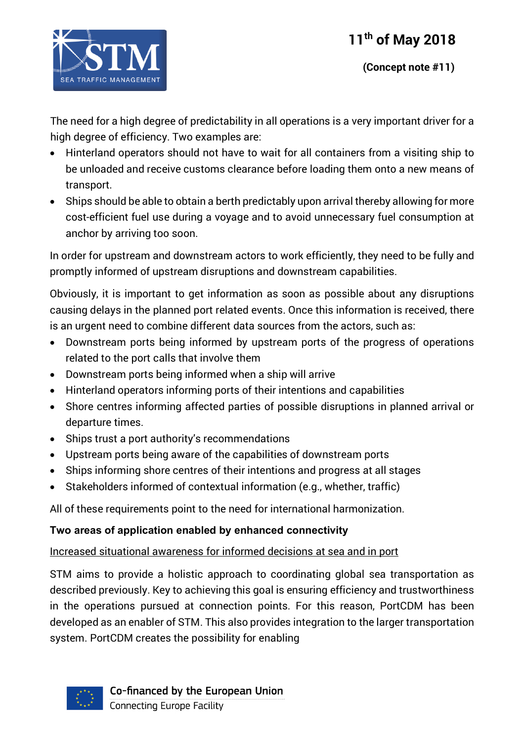

The need for a high degree of predictability in all operations is a very important driver for a high degree of efficiency. Two examples are:

- Hinterland operators should not have to wait for all containers from a visiting ship to be unloaded and receive customs clearance before loading them onto a new means of transport.
- Ships should be able to obtain a berth predictably upon arrival thereby allowing for more cost-efficient fuel use during a voyage and to avoid unnecessary fuel consumption at anchor by arriving too soon.

In order for upstream and downstream actors to work efficiently, they need to be fully and promptly informed of upstream disruptions and downstream capabilities.

Obviously, it is important to get information as soon as possible about any disruptions causing delays in the planned port related events. Once this information is received, there is an urgent need to combine different data sources from the actors, such as:

- Downstream ports being informed by upstream ports of the progress of operations related to the port calls that involve them
- Downstream ports being informed when a ship will arrive
- Hinterland operators informing ports of their intentions and capabilities
- Shore centres informing affected parties of possible disruptions in planned arrival or departure times.
- Ships trust a port authority's recommendations
- Upstream ports being aware of the capabilities of downstream ports
- Ships informing shore centres of their intentions and progress at all stages
- Stakeholders informed of contextual information (e.g., whether, traffic)

All of these requirements point to the need for international harmonization.

### **Two areas of application enabled by enhanced connectivity**

### Increased situational awareness for informed decisions at sea and in port

STM aims to provide a holistic approach to coordinating global sea transportation as described previously. Key to achieving this goal is ensuring efficiency and trustworthiness in the operations pursued at connection points. For this reason, PortCDM has been developed as an enabler of STM. This also provides integration to the larger transportation system. PortCDM creates the possibility for enabling



Co-financed by the European Union **Connecting Europe Facility**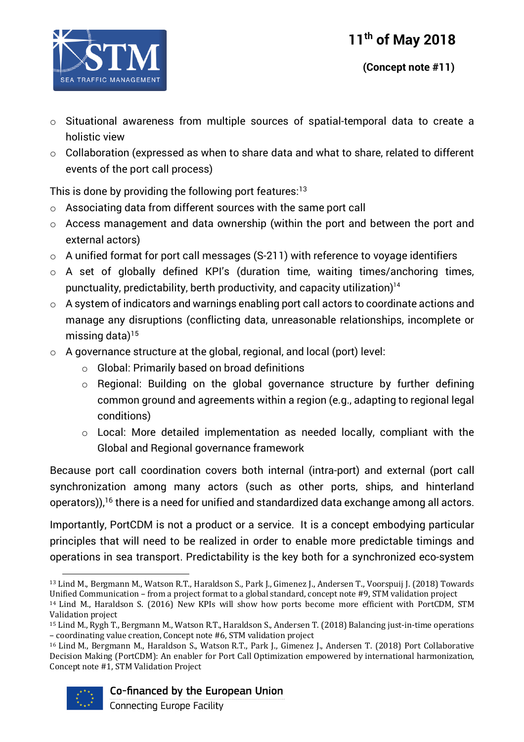

- o Situational awareness from multiple sources of spatial-temporal data to create a holistic view
- o Collaboration (expressed as when to share data and what to share, related to different events of the port call process)

This is done by providing the following port features: 13

- o Associating data from different sources with the same port call
- o Access management and data ownership (within the port and between the port and external actors)
- o A unified format for port call messages (S-211) with reference to voyage identifiers
- o A set of globally defined KPI's (duration time, waiting times/anchoring times, punctuality, predictability, berth productivity, and capacity utilization)14
- o A system of indicators and warnings enabling port call actors to coordinate actions and manage any disruptions (conflicting data, unreasonable relationships, incomplete or missing data) $15$
- $\circ$  A governance structure at the global, regional, and local (port) level:
	- o Global: Primarily based on broad definitions
	- o Regional: Building on the global governance structure by further defining common ground and agreements within a region (e.g., adapting to regional legal conditions)
	- o Local: More detailed implementation as needed locally, compliant with the Global and Regional governance framework

Because port call coordination covers both internal (intra-port) and external (port call synchronization among many actors (such as other ports, ships, and hinterland operators)), $^{16}$  there is a need for unified and standardized data exchange among all actors.

Importantly, PortCDM is not a product or a service. It is a concept embodying particular principles that will need to be realized in order to enable more predictable timings and operations in sea transport. Predictability is the key both for a synchronized eco-system

<sup>&</sup>lt;sup>16</sup> Lind M., Bergmann M., Haraldson S., Watson R.T., Park J., Gimenez J., Andersen T. (2018) Port Collaborative Decision Making (PortCDM): An enabler for Port Call Optimization empowered by international harmonization, Concept note #1, STM Validation Project



 <sup>13</sup> Lind M., Bergmann M., Watson R.T., Haraldson S., Park J., Gimenez J., Andersen T., Voorspuij J. (2018) Towards Unified Communication – from a project format to a global standard, concept note #9, STM validation project

 $14$  Lind M., Haraldson S. (2016) New KPIs will show how ports become more efficient with PortCDM, STM Validation project

<sup>&</sup>lt;sup>15</sup> Lind M., Rygh T., Bergmann M., Watson R.T., Haraldson S., Andersen T. (2018) Balancing just-in-time operations – coordinating value creation, Concept note #6, STM validation project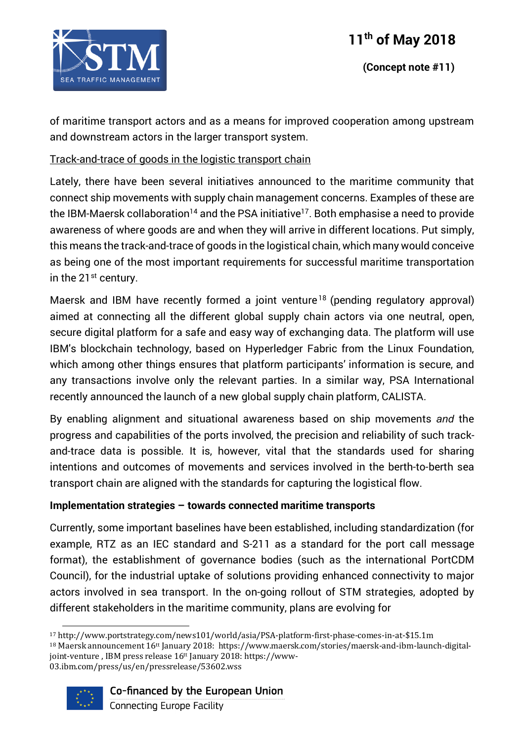

of maritime transport actors and as a means for improved cooperation among upstream and downstream actors in the larger transport system.

### Track-and-trace of goods in the logistic transport chain

Lately, there have been several initiatives announced to the maritime community that connect ship movements with supply chain management concerns. Examples of these are the IBM-Maersk collaboration<sup>14</sup> and the PSA initiative<sup>17</sup>. Both emphasise a need to provide awareness of where goods are and when they will arrive in different locations. Put simply, this means the track-and-trace of goods in the logistical chain, which many would conceive as being one of the most important requirements for successful maritime transportation in the 21<sup>st</sup> century.

Maersk and IBM have recently formed a joint venture<sup>18</sup> (pending regulatory approval) aimed at connecting all the different global supply chain actors via one neutral, open, secure digital platform for a safe and easy way of exchanging data. The platform will use IBM's blockchain technology, based on Hyperledger Fabric from the Linux Foundation, which among other things ensures that platform participants' information is secure, and any transactions involve only the relevant parties. In a similar way, PSA International recently announced the launch of a new global supply chain platform, CALISTA.

By enabling alignment and situational awareness based on ship movements *and* the progress and capabilities of the ports involved, the precision and reliability of such trackand-trace data is possible. It is, however, vital that the standards used for sharing intentions and outcomes of movements and services involved in the berth-to-berth sea transport chain are aligned with the standards for capturing the logistical flow.

#### **Implementation strategies – towards connected maritime transports**

Currently, some important baselines have been established, including standardization (for example, RTZ as an IEC standard and S-211 as a standard for the port call message format), the establishment of governance bodies (such as the international PortCDM Council), for the industrial uptake of solutions providing enhanced connectivity to major actors involved in sea transport. In the on-going rollout of STM strategies, adopted by different stakeholders in the maritime community, plans are evolving for

 $18$  Maersk announcement  $16$ <sup>tt</sup> January 2018: https://www.maersk.com/stories/maersk-and-ibm-launch-digitaljoint-venture, IBM press release  $16<sup>tt</sup>$  January 2018: https://www-03.ibm.com/press/us/en/pressrelease/53602.wss



Co-financed by the European Union

 <sup>17</sup> http://www.portstrategy.com/news101/world/asia/PSA-platform-first-phase-comes-in-at-\$15.1m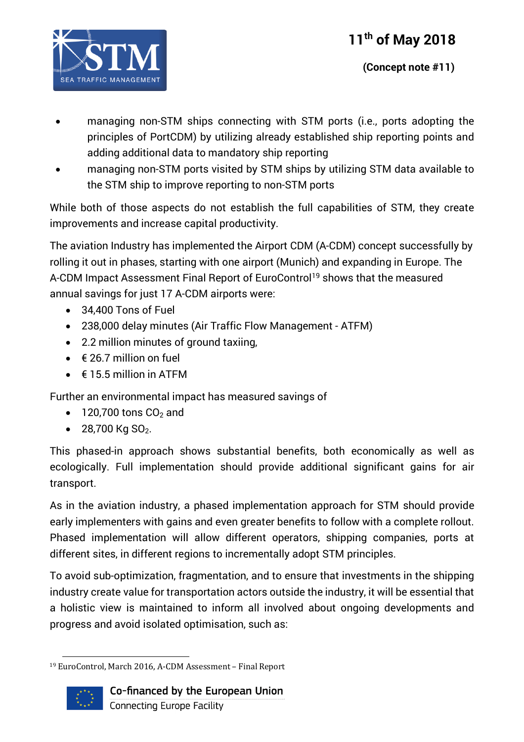

- managing non-STM ships connecting with STM ports (i.e., ports adopting the principles of PortCDM) by utilizing already established ship reporting points and adding additional data to mandatory ship reporting
- managing non-STM ports visited by STM ships by utilizing STM data available to the STM ship to improve reporting to non-STM ports

While both of those aspects do not establish the full capabilities of STM, they create improvements and increase capital productivity.

The aviation Industry has implemented the Airport CDM (A-CDM) concept successfully by rolling it out in phases, starting with one airport (Munich) and expanding in Europe. The A-CDM Impact Assessment Final Report of EuroControl<sup>19</sup> shows that the measured annual savings for just 17 A-CDM airports were:

- 34,400 Tons of Fuel
- 238,000 delay minutes (Air Traffic Flow Management ATFM)
- 2.2 million minutes of ground taxiing,
- $\bullet \quad \in$  26.7 million on fuel
- $\bullet$   $\in$  15.5 million in ATFM

Further an environmental impact has measured savings of

- $\bullet$  120,700 tons CO<sub>2</sub> and
- 28,700 Kg SO<sub>2</sub>.

This phased-in approach shows substantial benefits, both economically as well as ecologically. Full implementation should provide additional significant gains for air transport.

As in the aviation industry, a phased implementation approach for STM should provide early implementers with gains and even greater benefits to follow with a complete rollout. Phased implementation will allow different operators, shipping companies, ports at different sites, in different regions to incrementally adopt STM principles.

To avoid sub-optimization, fragmentation, and to ensure that investments in the shipping industry create value for transportation actors outside the industry, it will be essential that a holistic view is maintained to inform all involved about ongoing developments and progress and avoid isolated optimisation, such as:

 <sup>19</sup> EuroControl, March 2016, A-CDM Assessment - Final Report